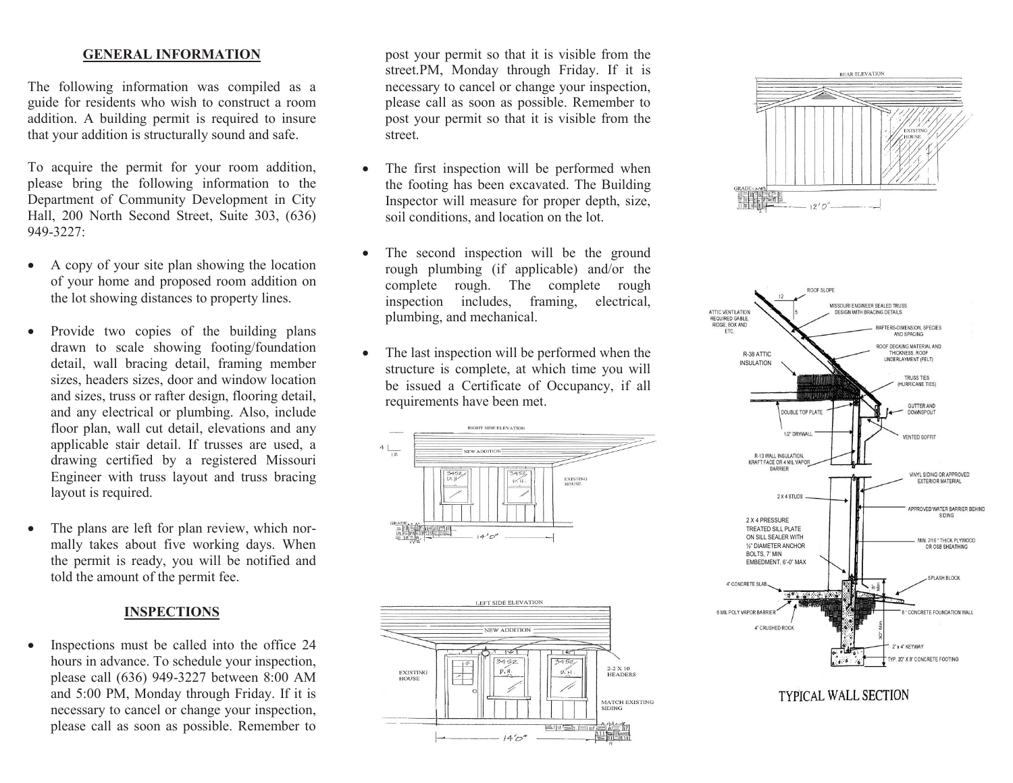## **GENERAL INFORMATION**

The following information was compiled as a guide for residents who wish to construct a room addition. A building permit is required to insure that your addition is structurally sound and safe.

To acquire the permit for your room addition, please bring the following information to the Department of Community Development in City Hall, 200 North Second Street, Suite 303, (636) 949-3227:

- A copy of your site plan showing the location of your home and proposed room addition on the lot showing distances to property lines.
- Provide two copies of the building plans drawn to scale showing footing/foundation detail, wall bracing detail, framing member sizes, headers sizes, door and window location and sizes, truss or rafter design, flooring detail, and any electrical or plumbing. Also, include floor plan, wall cut detail, elevations and any applicable stair detail. If trusses are used, a drawing certified by a registered Missouri Engineer with truss layout and truss bracing layout is required.
- The plans are left for plan review, which normally takes about five working days. When the permit is ready, you will be notified and told the amount of the permit fee.

## **INSPECTIONS**

 Inspections must be called into the office 24 hours in advance. To schedule your inspection, please call (636) 949-3227 between 8:00 AM and 5:00 PM, Monday through Friday. If it is necessary to cancel or change your inspection, please call as soon as possible. Remember to

post your permit so that it is visible from the street.PM, Monday through Friday. If it is necessary to cancel or change your inspection, please call as soon as possible. Remember to post your permit so that it is visible from the street.

- The first inspection will be performed when the footing has been excavated. The Building Inspector will measure for proper depth, size, soil conditions, and location on the lot.
- The second inspection will be the ground rough plumbing (if applicable) and/or the complete rough. The complete rough inspection includes, framing, electrical, plumbing, and mechanical.
- The last inspection will be performed when the structure is complete, at which time you will be issued a Certificate of Occupancy, if all requirements have been met.









## TYPICAL WALL SECTION